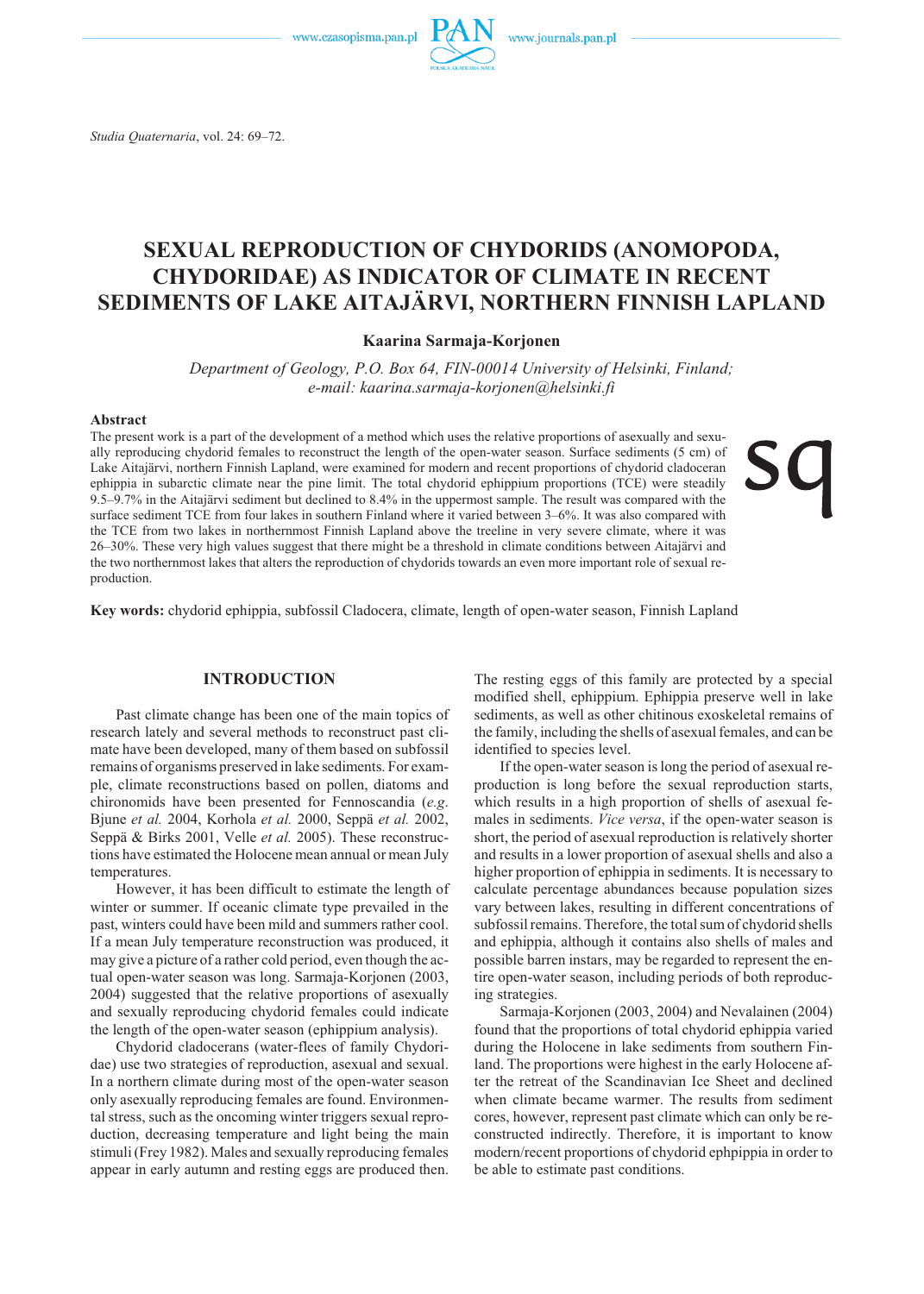www.czasopisma.pan.pl



*Studia Quaternaria*, vol. 24: 69–72.

# **SEXUAL REPRODUCTION OF CHYDORIDS (ANOMOPODA, CHYDORIDAE) AS INDICATOR OF CLIMATE IN RECENT SEDIMENTS OF LAKE AITAJÄRVI, NORTHERN FINNISH LAPLAND**

### **Kaarina Sarmaja- Korjonen**

Department of Geology, P.O. Box 64, FIN-00014 University of Helsinki, Finland; *e- mail: kaarina.sarmaja- korjonen@hel sinki.fi*

#### **Ab stract**

The present work is a part of the development of a method which uses the relative proportions of asexually and sexually reproducing chydorid females to reconstruct the length of the open-water season. Surface sediments (5 cm) of Lake Aitajärvi, northern Finnish Lapland, were examined for modern and recent proportions of chydorid cladoceran ephippia in subarctic climate near the pine limit. The total chydorid ephippium proportions (TCE) were steadily 9.5–9.7% in the Aitajärvi sediment but declined to 8.4% in the uppermost sample. The result was compared with the surface sediment TCE from four lakes in southern Finland where it varied between 3–6%. It was also compared with the TCE from two lakes in northernmost Finnish Lapland above the treeline in very severe climate, where it was 26–30%. These very high values suggest that there might be a threshold in climate conditions between Aitajärvi and the two northernmost lakes that alters the reproduction of chydorids towards an even more important role of sexual reproduction.

**Key words:** chydorid ephippia, subfossil Cladocera, climate, length of open-water season, Finnish Lapland

### **INTRODUCTION**

Past climate change has been one of the main topics of research lately and several methods to reconstruct past climate have been developed, many of them based on subfossil remains of organisms preserved in lake sediments. For example, climate reconstructions based on pollen, diatoms and chi ronomids have been presented for Fennoscandia (*e.g.*) Bjune *et al.* 2004, Kor hola *et al.* 2000, Seppä *et al.* 2002, Seppä & Birks 2001, Velle *et al.* 2005). These reconstructions have estimated the Holocene mean annual or mean July temperatures.

However, it has been difficult to estimate the length of winter or summer. If oceanic climate type prevailed in the past, winters could have been mild and summers rather cool. If a mean July temperature reconstruction was produced, it may give a picture of a rather cold period, even though the actual open-water season was long. Sarmaja-Korjonen (2003, 2004) suggested that the relative proportions of asexually and sexually reproducing chydorid females could indicate the length of the open-water season (ephippium analysis).

Chydorid cladocerans (water-flees of family Chydoridae) use two strategies of reproduction, asexual and sexual. In a northern climate during most of the open-water season only asexually reproducing females are found. Environmental stress, such as the oncoming winter triggers sexual reproduction, decreasing temperature and light being the main stimuli (Frey 1982). Males and sexually reproducing females appear in early autumn and resting eggs are produced then. The resting eggs of this family are protected by a special modified shell, ephippium. Ephippia preserve well in lake sediments, as well as other chitinous exoskeletal remains of the family, including the shells of asexual females, and can be identified to species level.

If the open-water season is long the period of asexual reproduction is long before the sexual reproduction starts, which results in a high proportion of shells of asexual females in sediments. *Vice versa*, if the open-water season is short, the period of asexual reproduction is relatively shorter and results in a lower proportion of asexual shells and also a higher proportion of ephippia in sediments. It is necessary to calculate percentage abundances because population sizes vary between lakes, resulting in different concentrations of subfossil remains. Therefore, the total sum of chydorid shells and ephippia, although it contains also shells of males and possible barren instars, may be regarded to represent the entire open-water season, including periods of both reproducing strategies.

Sarmaja-Korjonen (2003, 2004) and Nevalainen (2004) found that the proportions of total chydorid ephippia varied during the Holocene in lake sediments from southern Finland. The proportions were highest in the early Holocene after the retreat of the Scandinavian Ice Sheet and declined when climate became warmer. The results from sediment cores, however, represent past climate which can only be reconstructed indirectly. Therefore, it is important to know modern/recent proportions of chydorid ephpippia in order to be able to estimate past conditions.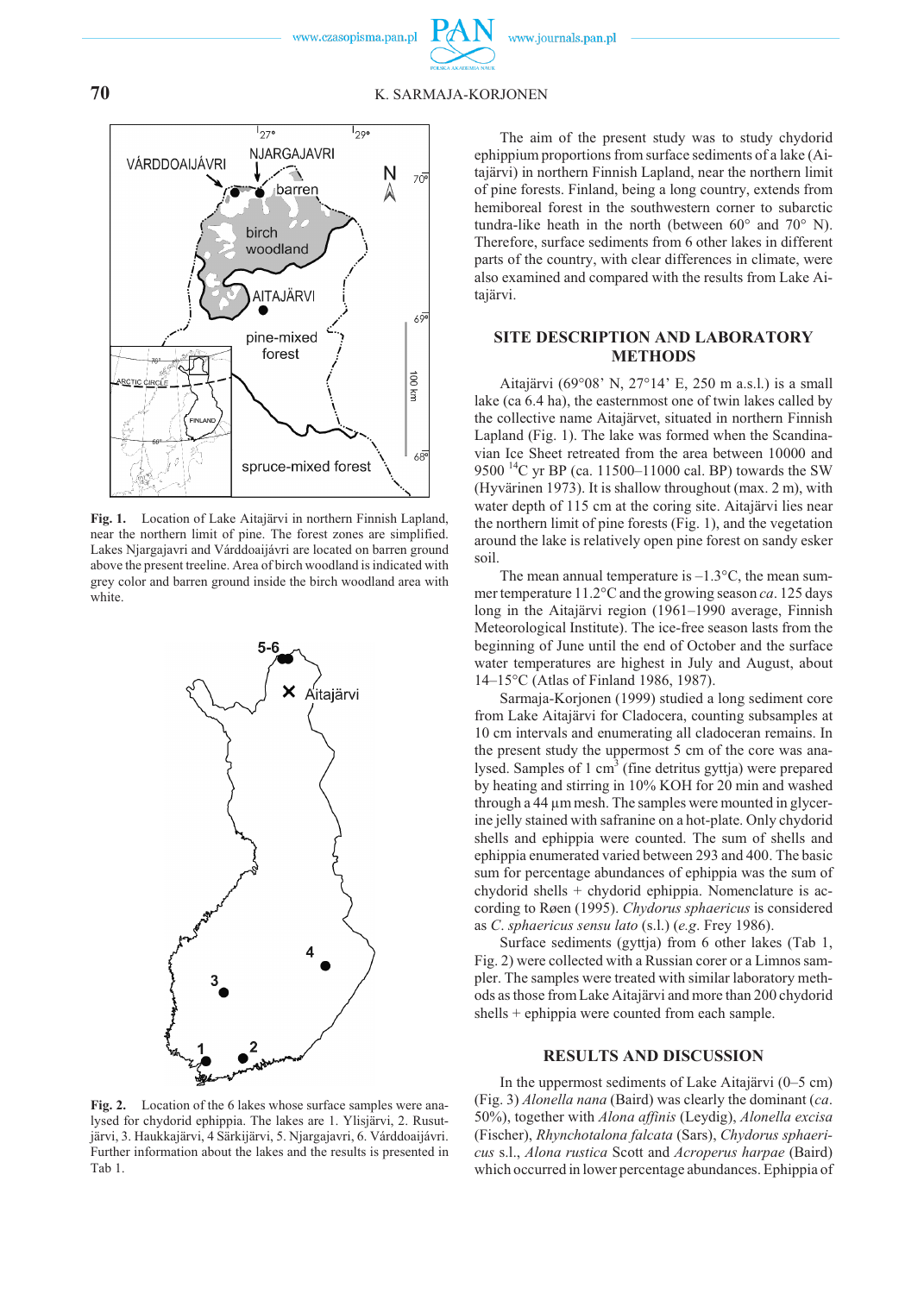### **70** K. SARMAJA- KORJONEN



Fig. 1. Location of Lake Aitajärvi in northern Finnish Lapland, near the northern limit of pine. The forest zones are simplified. Lakes Njargajavri and Várddoaijávri are located on barren ground above the present treeline. Area of birch woodland is indicated with grey color and barren ground inside the birch woodland area with white.



**Fig. 2.** Location of the 6 lakes whose surface samples were analysed for chydorid ephippia. The lakes are 1. Ylisjärvi, 2. Rusutjärvi, 3. Haukkajärvi, 4 Särkijärvi, 5. Njargajavri, 6. Várddoaijávri. Further information about the lakes and the results is presented in Tab 1.

The aim of the present study was to study chydorid ephippium proportions from surface sediments of a lake (Aitajärvi) in northern Finnish Lapland, near the northern limit of pine forests. Finland, being a long country, extends from hemiboreal forest in the southwestern corner to subarctic tundra-like heath in the north (between  $60^{\circ}$  and  $70^{\circ}$  N). Therefore, surface sediments from 6 other lakes in different parts of the country, with clear differences in climate, were also examined and compared with the results from Lake Aitajärvi.

### **SITE DESCRIPTION AND LABORATORY METHODS**

Aitajärvi (69°08' N, 27°14' E, 250 m a.s.l.) is a small lake (ca 6.4 ha), the easternmost one of twin lakes called by the collective name Aitajärvet, situated in northern Finnish Lapland (Fig. 1). The lake was formed when the Scandinavian Ice Sheet retreated from the area between 10000 and 9500<sup>14</sup>C yr BP (ca. 11500–11000 cal. BP) towards the SW (Hyvärinen 1973). It is shallow throughout (max. 2 m), with water depth of 115 cm at the coring site. Aitajärvi lies near the northern limit of pine forests (Fig. 1), and the vegetation around the lake is relatively open pine forest on sandy esker soil.

The mean annual temperature is  $-1.3$ °C, the mean summer temperature 11.2°C and the growing season *ca*. 125 days long in the Aitajärvi region (1961–1990 average, Finnish Meteorological Institute). The ice-free season lasts from the beginning of June until the end of October and the surface water temperatures are highest in July and August, about 14–15°C (Atlas of Finland 1986, 1987).

Sarmaja-Korjonen (1999) studied a long sediment core from Lake Aitajärvi for Cladocera, counting subsamples at 10 cm intervals and enumerating all cladoceran remains. In the present study the uppermost 5 cm of the core was analysed. Samples of 1 cm<sup>3</sup> (fine detritus gyttja) were prepared by heating and stirring in  $10\%$  KOH for 20 min and washed through a 44 µm mesh. The samples were mounted in glycerine jelly stained with safranine on a hot-plate. Only chydorid shells and ephippia were counted. The sum of shells and ephippia enumerated varied between 293 and 400. The basic sum for percentage abundances of ephippia was the sum of chydorid shells  $+$  chydorid ephippia. Nomenclature is according to Røen (1995). *Chydorus sphaericus* is considered as *C*. *sphaericus sensu lato* (s.l.) (*e.g*. Frey 1986).

Surface sediments (gyttja) from 6 other lakes (Tab 1, Fig. 2) were collected with a Russian corer or a Limnos sampler. The samples were treated with similar laboratory methods as those from Lake Aitajärvi and more than 200 chydorid shells + ephippia were counted from each sample.

#### **RESULTS AND DISCUSSION**

In the uppermost sediments of Lake Aitajärvi  $(0-5 \text{ cm})$ (Fig. 3) *Alonella nana* (Baird) was clearly the dominant (*ca*. 50%), to gether with *Alona af finis* (Ley dig), *Alonella ex cisa* (Fischer), *Rhyn cho ta lona fal cata* (Sars), *Chy do rus sphaericus* s.l., *Alona rustica* Scott and *Acroperus harpae* (Baird) which occurred in lower percentage abundances. Ephippia of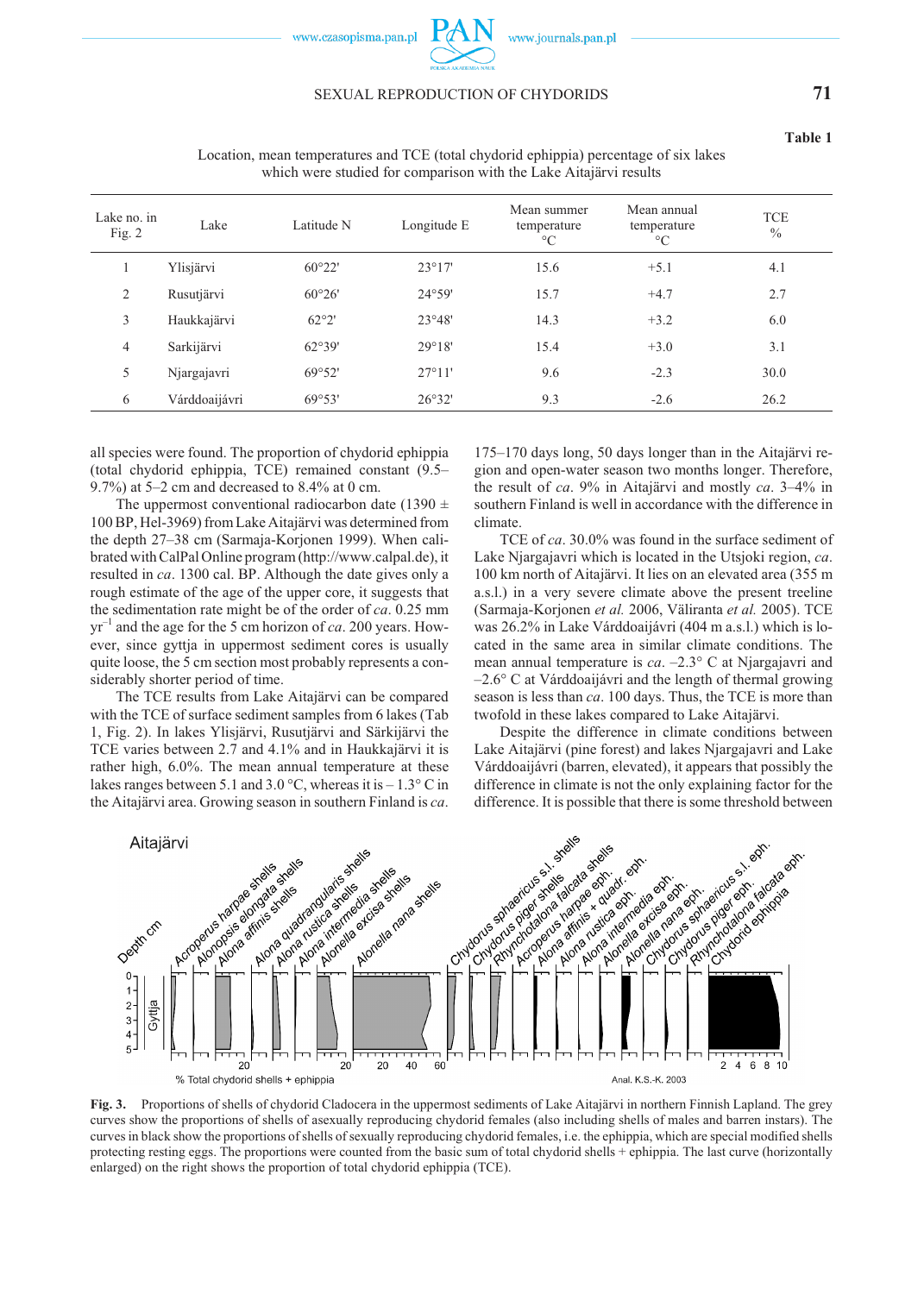www.czasopisma.pan.pl

### SEXUAL REPRODUCTION OF CHYDORIDS **71**

**Ta ble 1**

| Lake no. in<br>Fig. $2$ | Lake          | Latitude N      | Longitude E     | Mean summer<br>temperature<br>$\rm ^{\circ}C$ | Mean annual<br>temperature<br>$\rm ^{\circ}C$ | <b>TCE</b><br>$\frac{0}{0}$ |
|-------------------------|---------------|-----------------|-----------------|-----------------------------------------------|-----------------------------------------------|-----------------------------|
|                         | Ylisjärvi     | $60^{\circ}22'$ | $23^{\circ}17'$ | 15.6                                          | $+5.1$                                        | 4.1                         |
| 2                       | Rusutjärvi    | 60°26'          | $24^{\circ}59'$ | 15.7                                          | $+4.7$                                        | 2.7                         |
| 3                       | Haukkajärvi   | 62°2'           | 23°48'          | 14.3                                          | $+3.2$                                        | 6.0                         |
| 4                       | Sarkijärvi    | 62°39'          | 29°18'          | 15.4                                          | $+3.0$                                        | 3.1                         |
| 5                       | Njargajavri   | 69°52'          | 27°11'          | 9.6                                           | $-2.3$                                        | 30.0                        |
| 6                       | Várddoaijávri | 69°53'          | 26°32'          | 9.3                                           | $-2.6$                                        | 26.2                        |

Location, mean temperatures and TCE (total chydorid ephippia) percentage of six lakes which were studied for comparison with the Lake Aitajärvi results

all species were found. The proportion of chydorid ephippia (total chydorid ephippia, TCE) remained constant  $(9.5–$ 9.7%) at  $5-2$  cm and decreased to  $8.4\%$  at 0 cm.

The uppermost conventional radiocarbon date (1390  $\pm$ 100 BP, Hel-3969) from Lake Aitajärvi was determined from the depth 27–38 cm (Sarmaja-Korjonen 1999). When calibrated with CalPal Online program (http://www.calpal.de), it resulted in *ca*. 1300 cal. BP. Although the date gives only a rough estimate of the age of the upper core, it suggests that the sedimentation rate might be of the order of *ca*. 0.25 mm  $yr^{-1}$  and the age for the 5 cm horizon of *ca*. 200 years. However, since gyttja in uppermost sediment cores is usually quite loose, the 5 cm section most probably represents a considerably shorter period of time.

The TCE results from Lake Aitajärvi can be compared with the TCE of surface sediment samples from 6 lakes (Tab 1, Fig. 2). In lakes Ylisjärvi, Rusutjärvi and Särkijärvi the TCE varies between 2.7 and 4.1% and in Haukkajärvi it is rather high, 6.0%. The mean annual temperature at these lakes ranges between 5.1 and 3.0 °C, whereas it is  $-1.3$ °C in the Aitajärvi area. Growing season in southern Finland is *ca*.

175–170 days long, 50 days longer than in the Aitajärvi region and open-water season two months longer. Therefore, the result of *ca*.  $9\%$  in Aitajärvi and mostly *ca*.  $3-4\%$  in southern Finland is well in accordance with the difference in climate.

TCE of *ca*. 30.0% was found in the surface sediment of Lake Njargajavri which is located in the Utsjoki region, *ca*. 100 km north of Aitajärvi. It lies on an elevated area (355 m a.s.l.) in a very severe climate above the present treeline (Sarmaja-Korjonen et al. 2006, Väliranta et al. 2005). TCE was 26.2% in Lake Várddoaijávri (404 m a.s.l.) which is located in the same area in similar climate conditions. The mean annual temperature is  $ca. -2.3^\circ$  C at Njargajavri and  $-2.6^{\circ}$  C at Várddoaijávri and the length of thermal growing season is less than *ca*. 100 days. Thus, the TCE is more than two fold in these lakes compared to Lake Aitajärvi.

Despite the difference in climate conditions between Lake Aitajärvi (pine forest) and lakes Njargajavri and Lake Várddoaijávri (barren, elevated), it appears that possibly the difference in climate is not the only explaining factor for the difference. It is possible that there is some threshold between



**Fig. 3.** Proportions of shells of chydorid Cladocera in the uppermost sediments of Lake Aitajärvi in northern Finnish Lapland. The grey curves show the proportions of shells of asexually reproducing chydorid females (also including shells of males and barren instars). The curves in black show the proportions of shells of sexually reproducing chydorid females, i.e. the ephippia, which are special modified shells protecting resting eggs. The proportions were counted from the basic sum of total chydorid shells + ephippia. The last curve (horizontally enlarged) on the right shows the proportion of total chydorid ephippia (TCE).